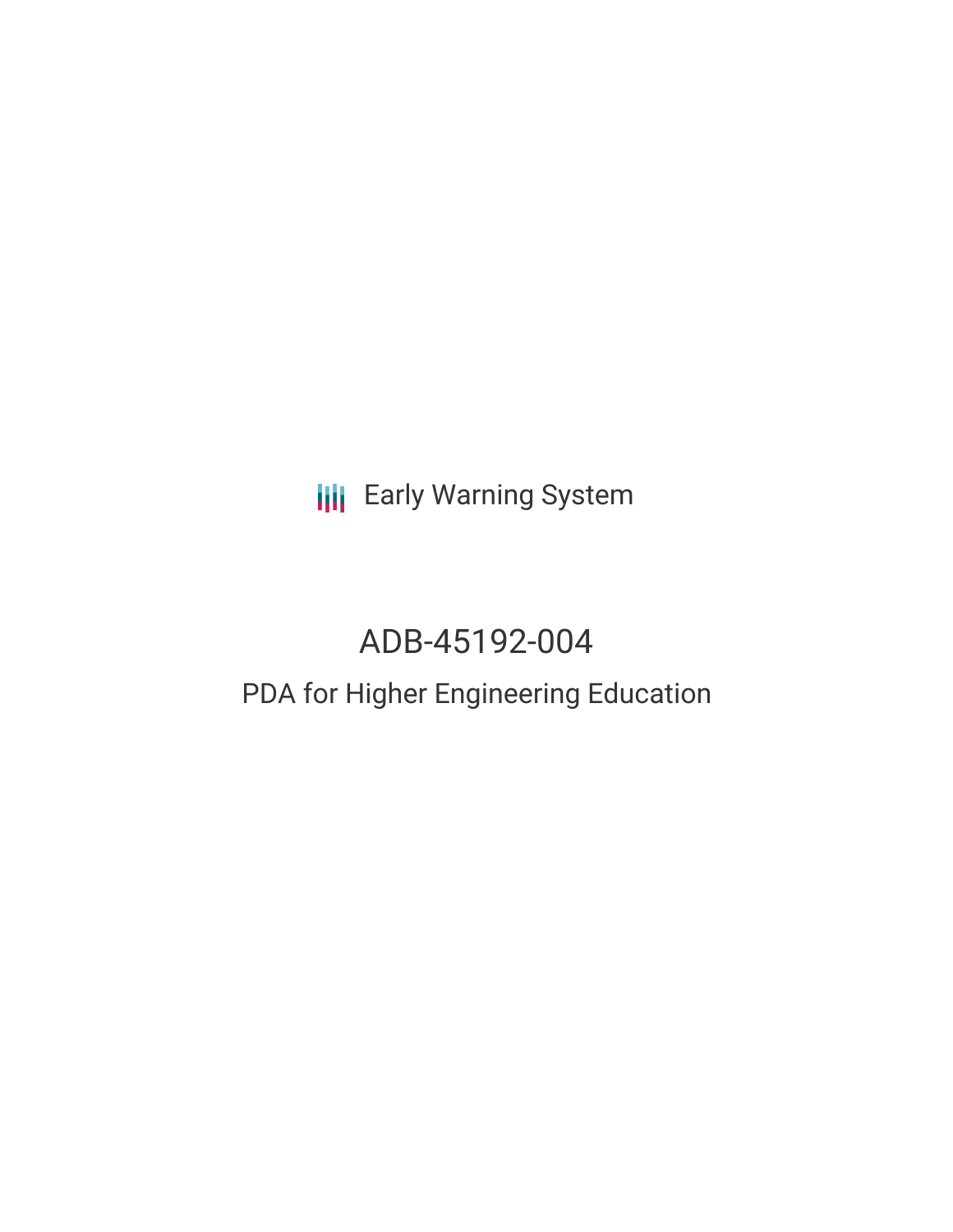**III** Early Warning System

# ADB-45192-004

# PDA for Higher Engineering Education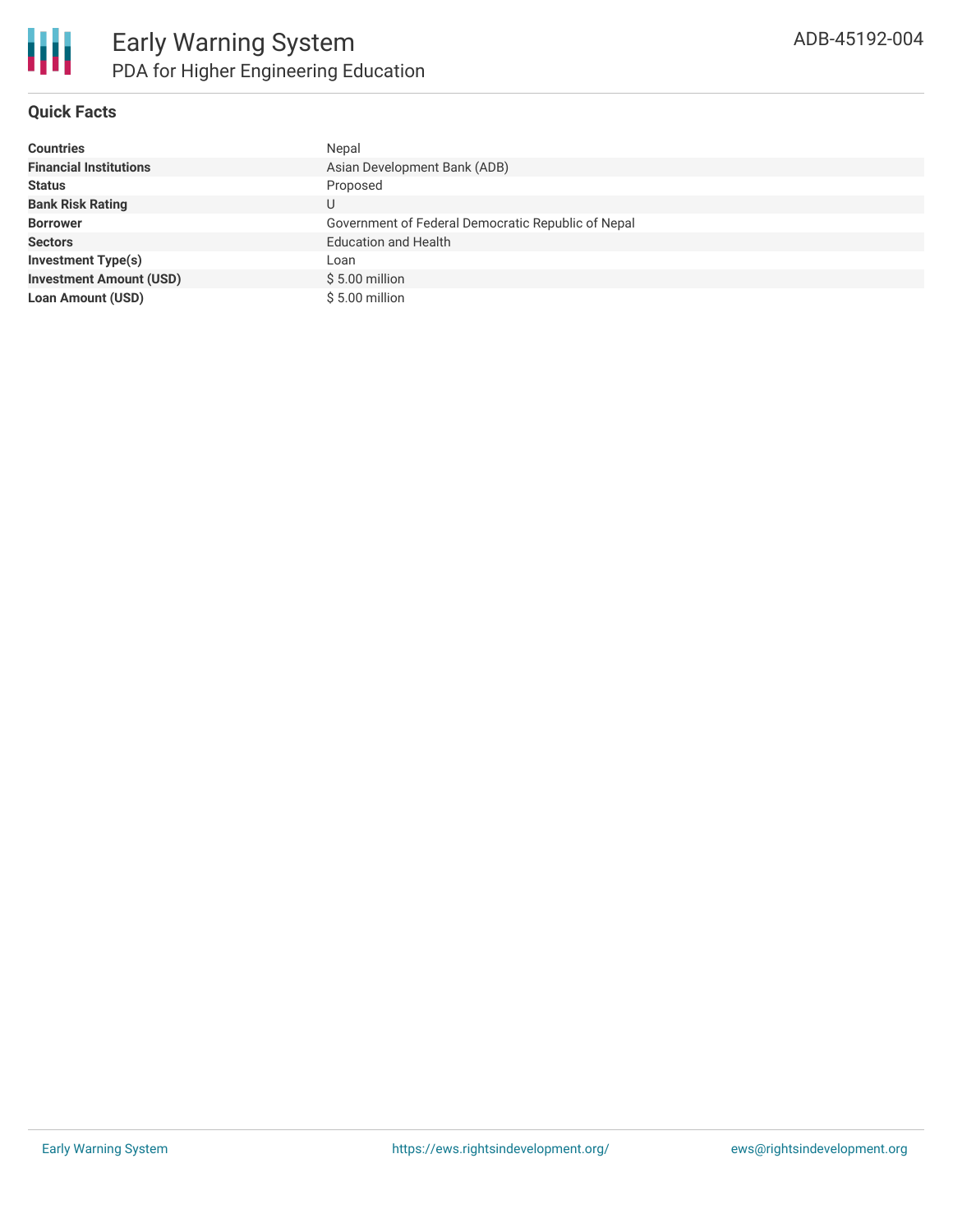

## **Quick Facts**

| <b>Countries</b>               | Nepal                                              |
|--------------------------------|----------------------------------------------------|
| <b>Financial Institutions</b>  | Asian Development Bank (ADB)                       |
| <b>Status</b>                  | Proposed                                           |
| <b>Bank Risk Rating</b>        | U                                                  |
| <b>Borrower</b>                | Government of Federal Democratic Republic of Nepal |
| <b>Sectors</b>                 | <b>Education and Health</b>                        |
| <b>Investment Type(s)</b>      | Loan                                               |
| <b>Investment Amount (USD)</b> | $$5.00$ million                                    |
| <b>Loan Amount (USD)</b>       | \$5.00 million                                     |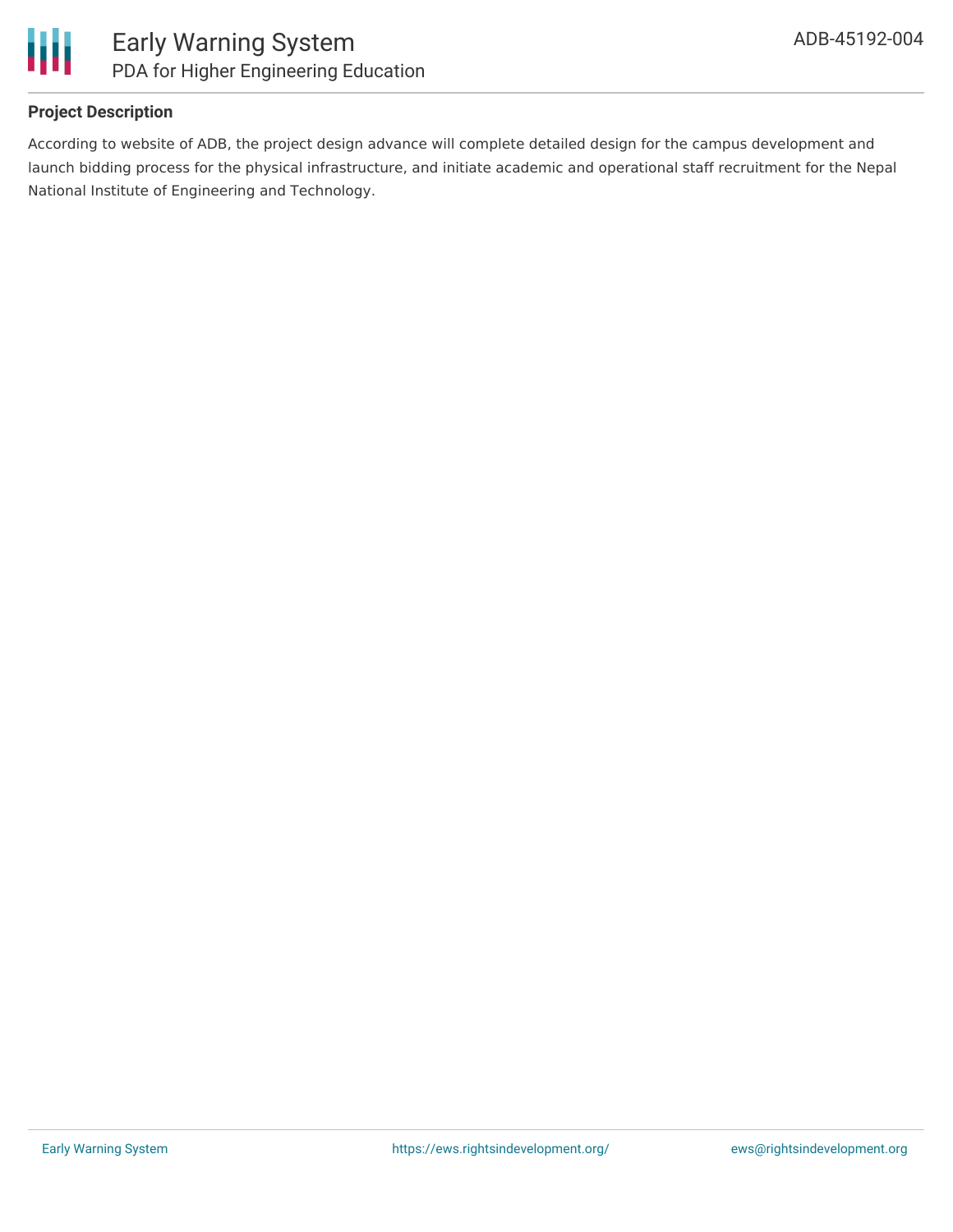

### **Project Description**

According to website of ADB, the project design advance will complete detailed design for the campus development and launch bidding process for the physical infrastructure, and initiate academic and operational staff recruitment for the Nepal National Institute of Engineering and Technology.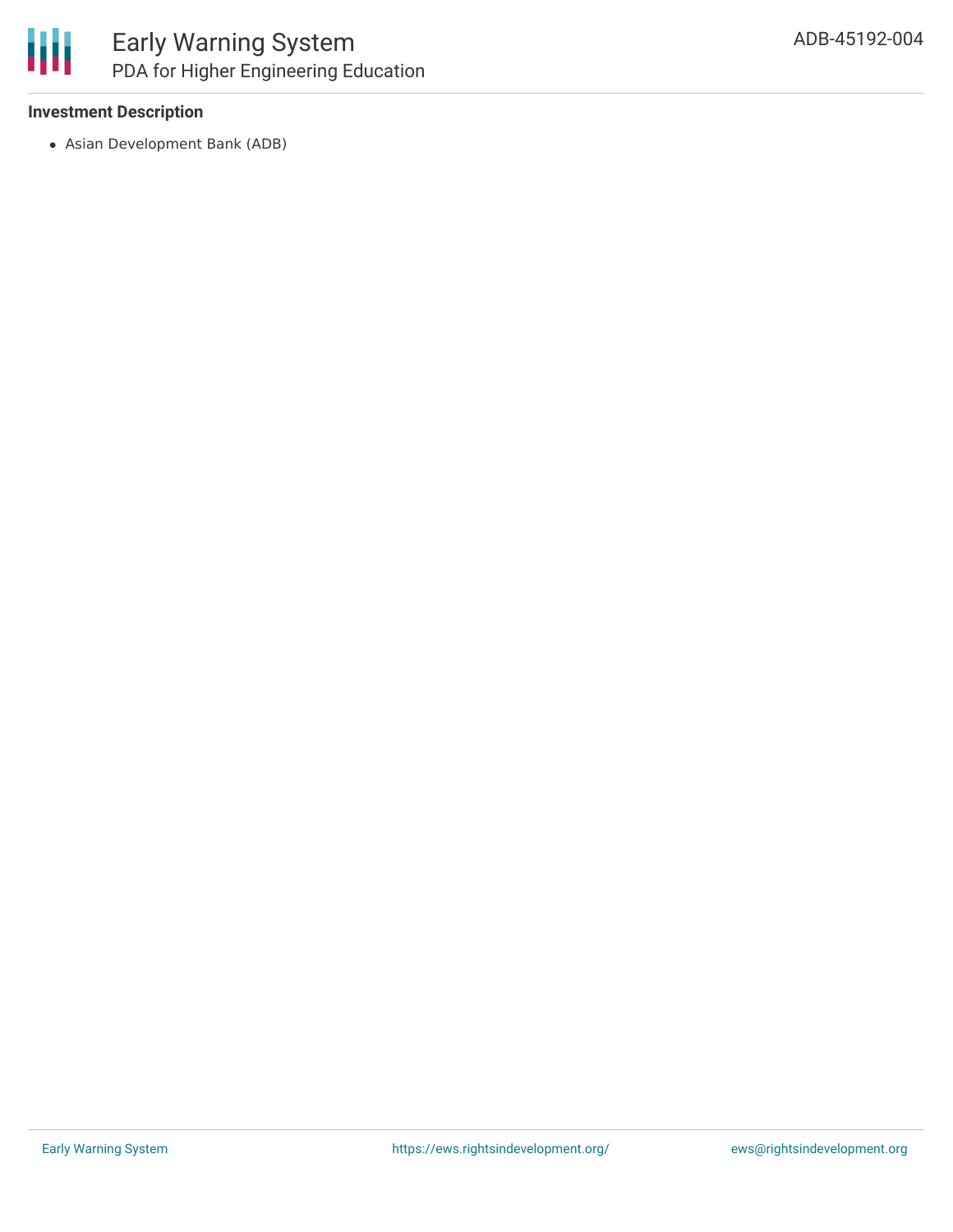

### **Investment Description**

Asian Development Bank (ADB)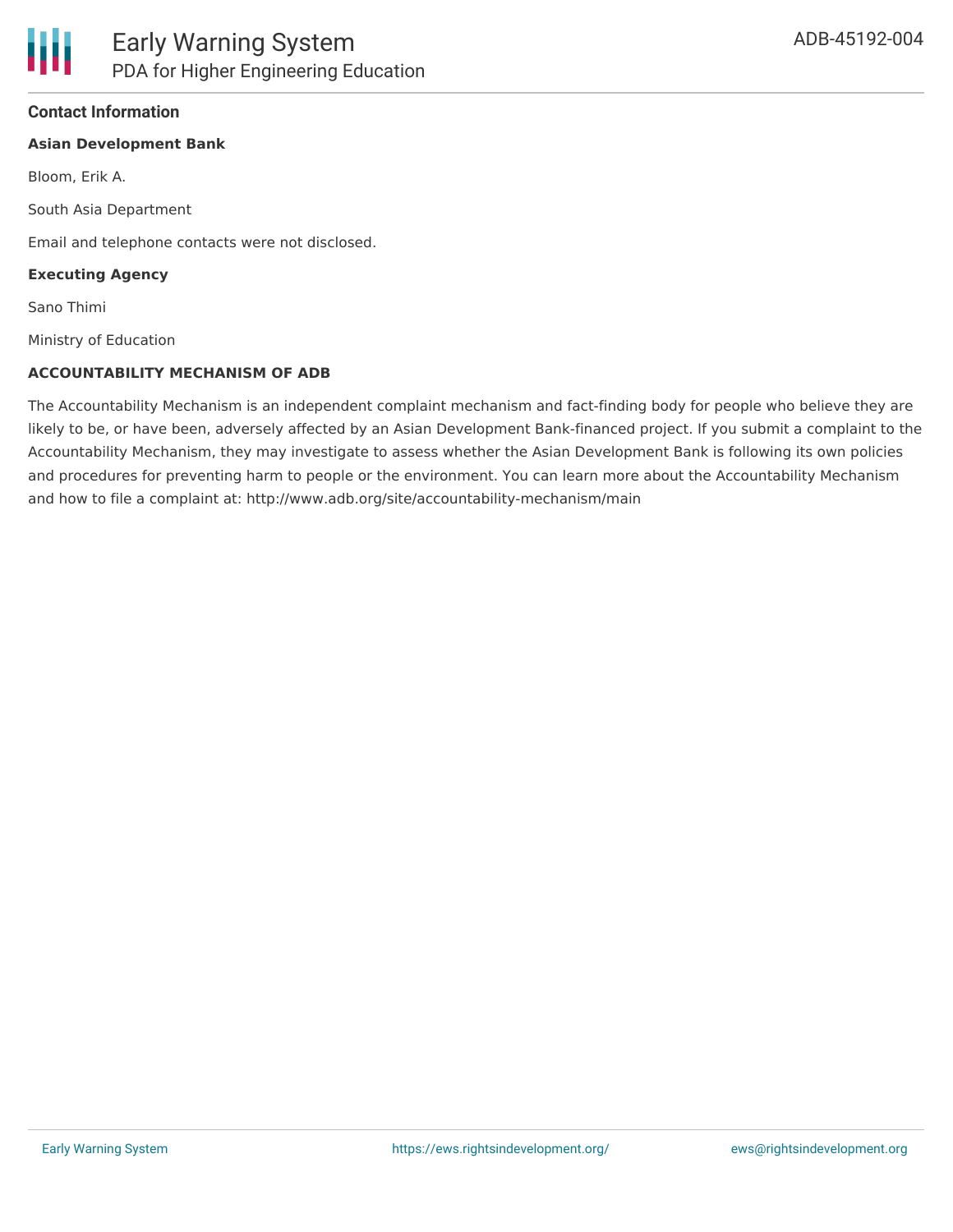### **Contact Information**

#### **Asian Development Bank**

Bloom, Erik A.

South Asia Department

Email and telephone contacts were not disclosed.

#### **Executing Agency**

Sano Thimi

Ministry of Education

#### **ACCOUNTABILITY MECHANISM OF ADB**

The Accountability Mechanism is an independent complaint mechanism and fact-finding body for people who believe they are likely to be, or have been, adversely affected by an Asian Development Bank-financed project. If you submit a complaint to the Accountability Mechanism, they may investigate to assess whether the Asian Development Bank is following its own policies and procedures for preventing harm to people or the environment. You can learn more about the Accountability Mechanism and how to file a complaint at: http://www.adb.org/site/accountability-mechanism/main